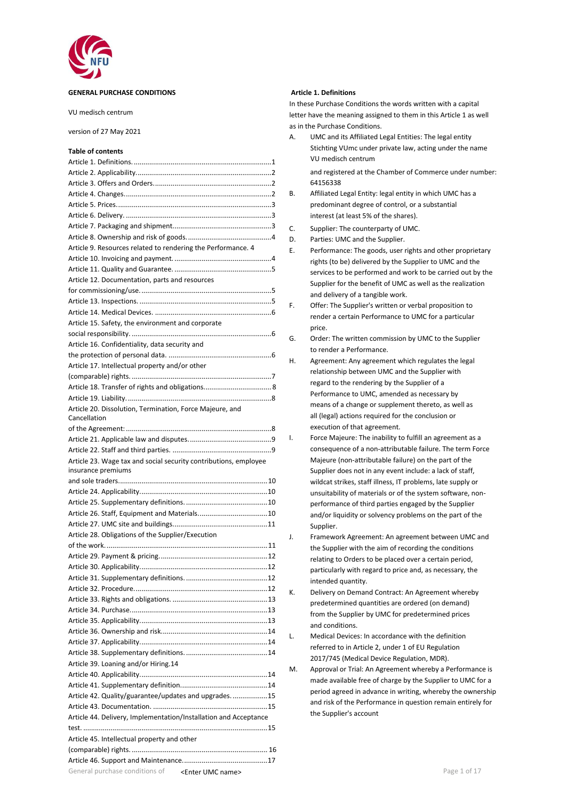

#### **GENERAL PURCHASE CONDITIONS**

VU medisch centrum

#### version of 27 May 2021

### **Table of contents**

|                                                                  |    | vu medisch centrum                                          |
|------------------------------------------------------------------|----|-------------------------------------------------------------|
|                                                                  |    | and registered at the Chamber of Commerce under nur         |
|                                                                  |    | 64156338                                                    |
|                                                                  | В. | Affiliated Legal Entity: legal entity in which UMC has a    |
|                                                                  |    | predominant degree of control, or a substantial             |
|                                                                  |    | interest (at least 5% of the shares).                       |
|                                                                  | C. | Supplier: The counterparty of UMC.                          |
|                                                                  | D. | Parties: UMC and the Supplier.                              |
| Article 9. Resources related to rendering the Performance. 4     | Ε. | Performance: The goods, user rights and other propriet      |
|                                                                  |    | rights (to be) delivered by the Supplier to UMC and the     |
|                                                                  |    | services to be performed and work to be carried out by      |
| Article 12. Documentation, parts and resources                   |    |                                                             |
|                                                                  |    | Supplier for the benefit of UMC as well as the realizatio   |
|                                                                  |    | and delivery of a tangible work.                            |
|                                                                  | F. | Offer: The Supplier's written or verbal proposition to      |
| Article 15. Safety, the environment and corporate                |    | render a certain Performance to UMC for a particular        |
|                                                                  |    | price.                                                      |
| Article 16. Confidentiality, data security and                   | G. | Order: The written commission by UMC to the Supplier        |
|                                                                  |    | to render a Performance.                                    |
| Article 17. Intellectual property and/or other                   | Η. | Agreement: Any agreement which regulates the legal          |
|                                                                  |    | relationship between UMC and the Supplier with              |
|                                                                  |    | regard to the rendering by the Supplier of a                |
|                                                                  |    | Performance to UMC, amended as necessary by                 |
| Article 20. Dissolution, Termination, Force Majeure, and         |    | means of a change or supplement thereto, as well as         |
| Cancellation                                                     |    | all (legal) actions required for the conclusion or          |
|                                                                  |    | execution of that agreement.                                |
|                                                                  | I. | Force Majeure: The inability to fulfill an agreement as a   |
|                                                                  |    | consequence of a non-attributable failure. The term Fo      |
| Article 23. Wage tax and social security contributions, employee |    | Majeure (non-attributable failure) on the part of the       |
| insurance premiums                                               |    | Supplier does not in any event include: a lack of staff,    |
|                                                                  |    | wildcat strikes, staff illness, IT problems, late supply or |
|                                                                  |    | unsuitability of materials or of the system software, nor   |
|                                                                  |    | performance of third parties engaged by the Supplier        |
|                                                                  |    | and/or liquidity or solvency problems on the part of the    |
|                                                                  |    | Supplier.                                                   |
| Article 28. Obligations of the Supplier/Execution                | J. | Framework Agreement: An agreement between UMC a             |
|                                                                  |    | the Supplier with the aim of recording the conditions       |
|                                                                  |    |                                                             |
|                                                                  |    | relating to Orders to be placed over a certain period,      |
|                                                                  |    | particularly with regard to price and, as necessary, the    |
|                                                                  |    | intended quantity.                                          |
|                                                                  | К. | Delivery on Demand Contract: An Agreement whereby           |
|                                                                  |    | predetermined quantities are ordered (on demand)            |
|                                                                  |    | from the Supplier by UMC for predetermined prices           |
|                                                                  |    | and conditions.                                             |
|                                                                  | L. | Medical Devices: In accordance with the definition          |
|                                                                  |    | referred to in Article 2, under 1 of EU Regulation          |
| Article 39. Loaning and/or Hiring.14                             |    | 2017/745 (Medical Device Regulation, MDR).                  |
|                                                                  | M. | Approval or Trial: An Agreement whereby a Performand        |
|                                                                  |    | made available free of charge by the Supplier to UMC fo     |
| Article 42. Quality/guarantee/updates and upgrades. 15           |    | period agreed in advance in writing, whereby the owne       |
|                                                                  |    | and risk of the Performance in question remain entirely     |
| Article 44. Delivery, Implementation/Installation and Acceptance |    | the Supplier's account                                      |
|                                                                  |    |                                                             |
|                                                                  |    |                                                             |
| Article 45. Intellectual property and other                      |    |                                                             |
|                                                                  |    |                                                             |
|                                                                  |    |                                                             |
| General purchase conditions of<br><enter name="" umc=""></enter> |    | Page 1 of 17                                                |

#### <span id="page-0-0"></span>**Article 1. Definitions**

In these Purchase Conditions the words written with a capital letter have the meaning assigned to them in this Article 1 as well as in the Purchase Conditions.

A. UMC and its Affiliated Legal Entities: The legal entity Stichting VUmc under private law, acting under the name VU medisch centrum

and registered at the Chamber of Commerce under number: 64156338

- B. Affiliated Legal Entity: legal entity in which UMC has a predominant degree of control, or a substantial interest (at least 5% of the shares).
- C. Supplier: The counterparty of UMC.
- D. Parties: UMC and the Supplier.
- E. Performance: The goods, user rights and other proprietary rights (to be) delivered by the Supplier to UMC and the services to be performed and work to be carried out by the Supplier for the benefit of UMC as well as the realization and delivery of a tangible work.
- F. Offer: The Supplier's written or verbal proposition to render a certain Performance to UMC for a particular price.
- G. Order: The written commission by UMC to the Supplier to render a Performance.
- H. Agreement: Any agreement which regulates the legal relationship between UMC and the Supplier with regard to the rendering by the Supplier of a Performance to UMC, amended as necessary by means of a change or supplement thereto, as well as all (legal) actions required for the conclusion or execution of that agreement.
- I. Force Majeure: The inability to fulfill an agreement as a consequence of a non-attributable failure. The term Force Majeure (non-attributable failure) on the part of the Supplier does not in any event include: a lack of staff, wildcat strikes, staff illness, IT problems, late supply or unsuitability of materials or of the system software, nonperformance of third parties engaged by the Supplier and/or liquidity or solvency problems on the part of the Supplier.
- J. Framework Agreement: An agreement between UMC and the Supplier with the aim of recording the conditions relating to Orders to be placed over a certain period, particularly with regard to price and, as necessary, the intended quantity.
- K. Delivery on Demand Contract: An Agreement whereby predetermined quantities are ordered (on demand) from the Supplier by UMC for predetermined prices and conditions.
- L. Medical Devices: In accordance with the definition referred to in Article 2, under 1 of EU Regulation 2017/745 (Medical Device Regulation, MDR).
- M. Approval or Trial: An Agreement whereby a Performance is made available free of charge by the Supplier to UMC for a period agreed in advance in writing, whereby the ownership and risk of the Performance in question remain entirely for the Supplier's account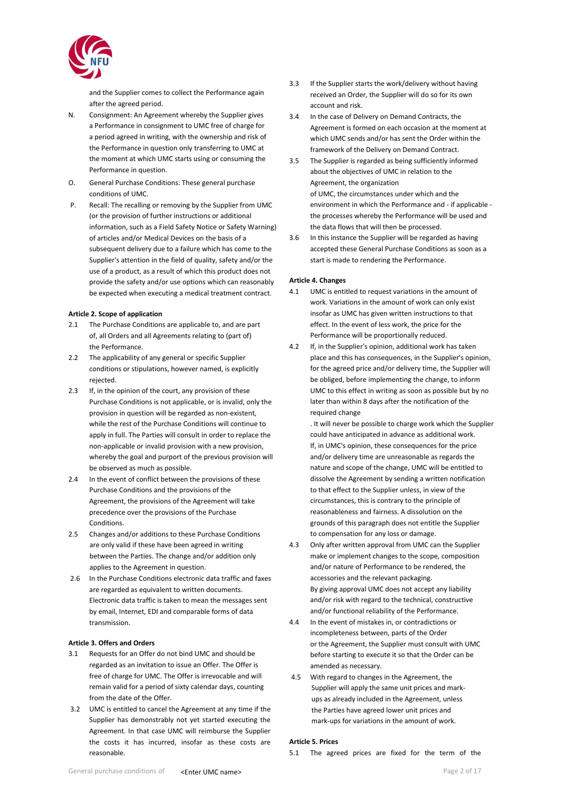

and the Supplier comes to collect the Performance again after the agreed period.

- N. Consignment: An Agreement whereby the Supplier gives a Performance in consignment to UMC free of charge for a period agreed in writing, with the ownership and risk of the Performance in question only transferring to UMC at the moment at which UMC starts using or consuming the Performance in question.
- O. General Purchase Conditions: These general purchase conditions of UMC.
- P. Recall: The recalling or removing by the Supplier from UMC (or the provision of further instructions or additional information, such as a Field Safety Notice or Safety Warning) of articles and/or Medical Devices on the basis of a subsequent delivery due to a failure which has come to the Supplier's attention in the field of quality, safety and/or the use of a product, as a result of which this product does not provide the safety and/or use options which can reasonably be expected when executing a medical treatment contract.

### <span id="page-1-0"></span>**Article 2. Scope of application**

- 2.1 The Purchase Conditions are applicable to, and are part of, all Orders and all Agreements relating to (part of) the Performance.
- 2.2 The applicability of any general or specific Supplier conditions or stipulations, however named, is explicitly rejected.
- 2.3 If, in the opinion of the court, any provision of these Purchase Conditions is not applicable, or is invalid, only the provision in question will be regarded as non-existent, while the rest of the Purchase Conditions will continue to apply in full. The Parties will consult in order to replace the non-applicable or invalid provision with a new provision, whereby the goal and purport of the previous provision will be observed as much as possible.
- 2.4 In the event of conflict between the provisions of these Purchase Conditions and the provisions of the Agreement, the provisions of the Agreement will take precedence over the provisions of the Purchase Conditions.
- 2.5 Changes and/or additions to these Purchase Conditions are only valid if these have been agreed in writing between the Parties. The change and/or addition only applies to the Agreement in question.
- 2.6 In the Purchase Conditions electronic data traffic and faxes are regarded as equivalent to written documents. Electronic data traffic is taken to mean the messages sent by email, Internet, EDI and comparable forms of data transmission.

### <span id="page-1-1"></span>**Article 3. Offers and Orders**

- 3.1 Requests for an Offer do not bind UMC and should be regarded as an invitation to issue an Offer. The Offer is free of charge for UMC. The Offer is irrevocable and will remain valid for a period of sixty calendar days, counting from the date of the Offer.
- 3.2 UMC is entitled to cancel the Agreement at any time if the Supplier has demonstrably not yet started executing the Agreement. In that case UMC will reimburse the Supplier the costs it has incurred, insofar as these costs are reasonable.
- 3.3 If the Supplier starts the work/delivery without having received an Order, the Supplier will do so for its own account and risk.
- 3.4 In the case of Delivery on Demand Contracts, the Agreement is formed on each occasion at the moment at which UMC sends and/or has sent the Order within the framework of the Delivery on Demand Contract.
- 3.5 The Supplier is regarded as being sufficiently informed about the objectives of UMC in relation to the Agreement, the organization of UMC, the circumstances under which and the environment in which the Performance and - if applicable the processes whereby the Performance will be used and the data flows that will then be processed.
- 3.6 In this instance the Supplier will be regarded as having accepted these General Purchase Conditions as soon as a start is made to rendering the Performance.

### <span id="page-1-2"></span>**Article 4. Changes**

- 4.1 UMC is entitled to request variations in the amount of work. Variations in the amount of work can only exist insofar as UMC has given written instructions to that effect. In the event of less work, the price for the Performance will be proportionally reduced.
- 4.2 If, in the Supplier's opinion, additional work has taken place and this has consequences, in the Supplier's opinion, for the agreed price and/or delivery time, the Supplier will be obliged, before implementing the change, to inform UMC to this effect in writing as soon as possible but by no later than within 8 days after the notification of the required change

. It will never be possible to charge work which the Supplier could have anticipated in advance as additional work. If, in UMC's opinion, these consequences for the price and/or delivery time are unreasonable as regards the nature and scope of the change, UMC will be entitled to dissolve the Agreement by sending a written notification to that effect to the Supplier unless, in view of the circumstances, this is contrary to the principle of reasonableness and fairness. A dissolution on the grounds of this paragraph does not entitle the Supplier to compensation for any loss or damage.

- 4.3 Only after written approval from UMC can the Supplier make or implement changes to the scope, composition and/or nature of Performance to be rendered, the accessories and the relevant packaging. By giving approval UMC does not accept any liability and/or risk with regard to the technical, constructive and/or functional reliability of the Performance.
- 4.4 In the event of mistakes in, or contradictions or incompleteness between, parts of the Order or the Agreement, the Supplier must consult with UMC before starting to execute it so that the Order can be amended as necessary.
- 4.5 With regard to changes in the Agreement, the Supplier will apply the same unit prices and markups as already included in the Agreement, unless the Parties have agreed lower unit prices and mark-ups for variations in the amount of work.

#### <span id="page-1-3"></span>**Article 5. Prices**

5.1 The agreed prices are fixed for the term of the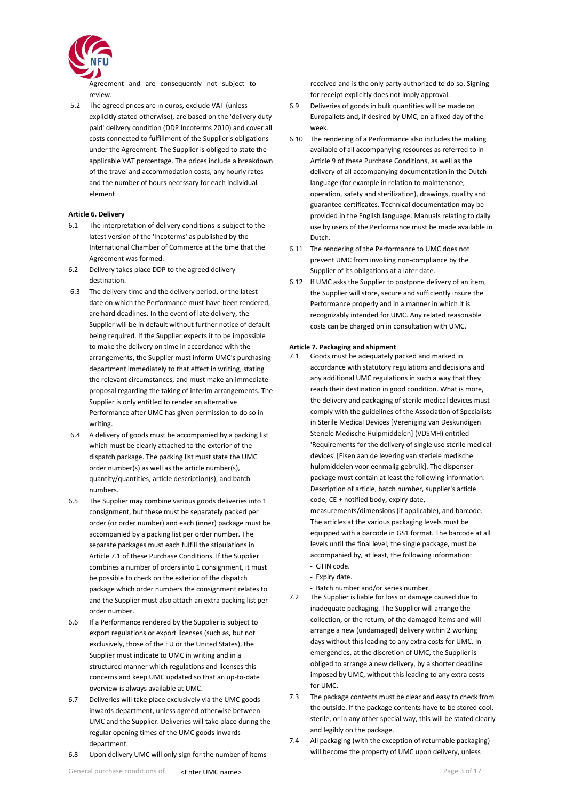

Agreement and are consequently not subject to review.

5.2 The agreed prices are in euros, exclude VAT (unless explicitly stated otherwise), are based on the 'delivery duty paid' delivery condition (DDP Incoterms 2010) and cover all costs connected to fulfillment of the Supplier's obligations under the Agreement. The Supplier is obliged to state the applicable VAT percentage. The prices include a breakdown of the travel and accommodation costs, any hourly rates and the number of hours necessary for each individual element.

## <span id="page-2-0"></span>**Article 6. Delivery**

- 6.1 The interpretation of delivery conditions is subject to the latest version of the 'Incoterms' as published by the International Chamber of Commerce at the time that the Agreement was formed.
- 6.2 Delivery takes place DDP to the agreed delivery destination.
- 6.3 The delivery time and the delivery period, or the latest date on which the Performance must have been rendered, are hard deadlines. In the event of late delivery, the Supplier will be in default without further notice of default being required. If the Supplier expects it to be impossible to make the delivery on time in accordance with the arrangements, the Supplier must inform UMC's purchasing department immediately to that effect in writing, stating the relevant circumstances, and must make an immediate proposal regarding the taking of interim arrangements. The Supplier is only entitled to render an alternative Performance after UMC has given permission to do so in writing.
- 6.4 A delivery of goods must be accompanied by a packing list which must be clearly attached to the exterior of the dispatch package. The packing list must state the UMC order number(s) as well as the article number(s), quantity/quantities, article description(s), and batch numbers.
- 6.5 The Supplier may combine various goods deliveries into 1 consignment, but these must be separately packed per order (or order number) and each (inner) package must be accompanied by a packing list per order number. The separate packages must each fulfill the stipulations in Article 7.1 of these Purchase Conditions. If the Supplier combines a number of orders into 1 consignment, it must be possible to check on the exterior of the dispatch package which order numbers the consignment relates to and the Supplier must also attach an extra packing list per order number.
- 6.6 If a Performance rendered by the Supplier is subject to export regulations or export licenses (such as, but not exclusively, those of the EU or the United States), the Supplier must indicate to UMC in writing and in a structured manner which regulations and licenses this concerns and keep UMC updated so that an up-to-date overview is always available at UMC.
- 6.7 Deliveries will take place exclusively via the UMC goods inwards department, unless agreed otherwise between UMC and the Supplier. Deliveries will take place during the regular opening times of the UMC goods inwards department.
- 6.8 Upon delivery UMC will only sign for the number of items

received and is the only party authorized to do so. Signing for receipt explicitly does not imply approval.

- 6.9 Deliveries of goods in bulk quantities will be made on Europallets and, if desired by UMC, on a fixed day of the week.
- 6.10 The rendering of a Performance also includes the making available of all accompanying resources as referred to in Article 9 of these Purchase Conditions, as well as the delivery of all accompanying documentation in the Dutch language (for example in relation to maintenance, operation, safety and sterilization), drawings, quality and guarantee certificates. Technical documentation may be provided in the English language. Manuals relating to daily use by users of the Performance must be made available in Dutch.
- 6.11 The rendering of the Performance to UMC does not prevent UMC from invoking non-compliance by the Supplier of its obligations at a later date.
- 6.12 If UMC asks the Supplier to postpone delivery of an item, the Supplier will store, secure and sufficiently insure the Performance properly and in a manner in which it is recognizably intended for UMC. Any related reasonable costs can be charged on in consultation with UMC.

#### <span id="page-2-1"></span>**Article 7. Packaging and shipment**

- 7.1 Goods must be adequately packed and marked in accordance with statutory regulations and decisions and any additional UMC regulations in such a way that they reach their destination in good condition. What is more, the delivery and packaging of sterile medical devices must comply with the guidelines of the Association of Specialists in Sterile Medical Devices [Vereniging van Deskundigen Steriele Medische Hulpmiddelen] (VDSMH) entitled 'Requirements for the delivery of single use sterile medical devices' [Eisen aan de levering van steriele medische hulpmiddelen voor eenmalig gebruik]. The dispenser package must contain at least the following information: Description of article, batch number, supplier's article code, CE + notified body, expiry date, measurements/dimensions (if applicable), and barcode. The articles at the various packaging levels must be equipped with a barcode in GS1 format. The barcode at all levels until the final level, the single package, must be accompanied by, at least, the following information: - GTIN code.
	- Expiry date.
	- Batch number and/or series number.
- 7.2 The Supplier is liable for loss or damage caused due to inadequate packaging. The Supplier will arrange the collection, or the return, of the damaged items and will arrange a new (undamaged) delivery within 2 working days without this leading to any extra costs for UMC. In emergencies, at the discretion of UMC, the Supplier is obliged to arrange a new delivery, by a shorter deadline imposed by UMC, without this leading to any extra costs for UMC.
- 7.3 The package contents must be clear and easy to check from the outside. If the package contents have to be stored cool, sterile, or in any other special way, this will be stated clearly and legibly on the package.
- 7.4 All packaging (with the exception of returnable packaging) will become the property of UMC upon delivery, unless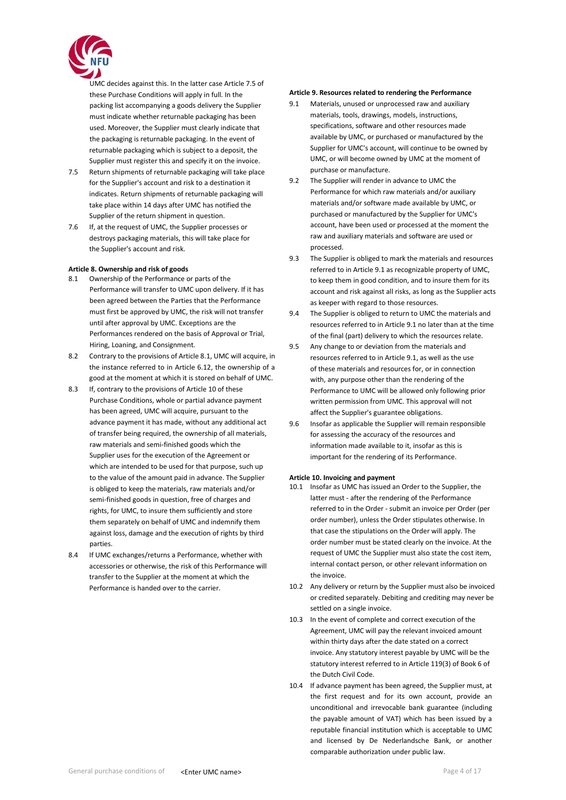

UMC decides against this. In the latter case Article 7.5 of these Purchase Conditions will apply in full. In the packing list accompanying a goods delivery the Supplier must indicate whether returnable packaging has been used. Moreover, the Supplier must clearly indicate that the packaging is returnable packaging. In the event of returnable packaging which is subject to a deposit, the Supplier must register this and specify it on the invoice.

- 7.5 Return shipments of returnable packaging will take place for the Supplier's account and risk to a destination it indicates. Return shipments of returnable packaging will take place within 14 days after UMC has notified the Supplier of the return shipment in question.
- 7.6 If, at the request of UMC, the Supplier processes or destroys packaging materials, this will take place for the Supplier's account and risk.

### <span id="page-3-0"></span>**Article 8. Ownership and risk of goods**

- 8.1 Ownership of the Performance or parts of the Performance will transfer to UMC upon delivery. If it has been agreed between the Parties that the Performance must first be approved by UMC, the risk will not transfer until after approval by UMC. Exceptions are the Performances rendered on the basis of Approval or Trial, Hiring, Loaning, and Consignment.
- 8.2 Contrary to the provisions of Article 8.1, UMC will acquire, in the instance referred to in Article 6.12, the ownership of a good at the moment at which it is stored on behalf of UMC.
- 8.3 If, contrary to the provisions of Article 10 of these Purchase Conditions, whole or partial advance payment has been agreed, UMC will acquire, pursuant to the advance payment it has made, without any additional act of transfer being required, the ownership of all materials, raw materials and semi-finished goods which the Supplier uses for the execution of the Agreement or which are intended to be used for that purpose, such up to the value of the amount paid in advance. The Supplier is obliged to keep the materials, raw materials and/or semi-finished goods in question, free of charges and rights, for UMC, to insure them sufficiently and store them separately on behalf of UMC and indemnify them against loss, damage and the execution of rights by third parties.
- 8.4 If UMC exchanges/returns a Performance, whether with accessories or otherwise, the risk of this Performance will transfer to the Supplier at the moment at which the Performance is handed over to the carrier.

### **Article 9. Resources related to rendering the Performance**

- 9.1 Materials, unused or unprocessed raw and auxiliary materials, tools, drawings, models, instructions, specifications, software and other resources made available by UMC, or purchased or manufactured by the Supplier for UMC's account, will continue to be owned by UMC, or will become owned by UMC at the moment of purchase or manufacture.
- 9.2 The Supplier will render in advance to UMC the Performance for which raw materials and/or auxiliary materials and/or software made available by UMC, or purchased or manufactured by the Supplier for UMC's account, have been used or processed at the moment the raw and auxiliary materials and software are used or processed.
- 9.3 The Supplier is obliged to mark the materials and resources referred to in Article 9.1 as recognizable property of UMC, to keep them in good condition, and to insure them for its account and risk against all risks, as long as the Supplier acts as keeper with regard to those resources.
- 9.4 The Supplier is obliged to return to UMC the materials and resources referred to in Article 9.1 no later than at the time of the final (part) delivery to which the resources relate.
- 9.5 Any change to or deviation from the materials and resources referred to in Article 9.1, as well as the use of these materials and resources for, or in connection with, any purpose other than the rendering of the Performance to UMC will be allowed only following prior written permission from UMC. This approval will not affect the Supplier's guarantee obligations.
- 9.6 Insofar as applicable the Supplier will remain responsible for assessing the accuracy of the resources and information made available to it, insofar as this is important for the rendering of its Performance.

#### <span id="page-3-1"></span>**Article 10. Invoicing and payment**

- 10.1 Insofar as UMC has issued an Order to the Supplier, the latter must - after the rendering of the Performance referred to in the Order - submit an invoice per Order (per order number), unless the Order stipulates otherwise. In that case the stipulations on the Order will apply. The order number must be stated clearly on the invoice. At the request of UMC the Supplier must also state the cost item, internal contact person, or other relevant information on the invoice.
- 10.2 Any delivery or return by the Supplier must also be invoiced or credited separately. Debiting and crediting may never be settled on a single invoice.
- 10.3 In the event of complete and correct execution of the Agreement, UMC will pay the relevant invoiced amount within thirty days after the date stated on a correct invoice. Any statutory interest payable by UMC will be the statutory interest referred to in Article 119(3) of Book 6 of the Dutch Civil Code.
- 10.4 If advance payment has been agreed, the Supplier must, at the first request and for its own account, provide an unconditional and irrevocable bank guarantee (including the payable amount of VAT) which has been issued by a reputable financial institution which is acceptable to UMC and licensed by De Nederlandsche Bank, or another comparable authorization under public law.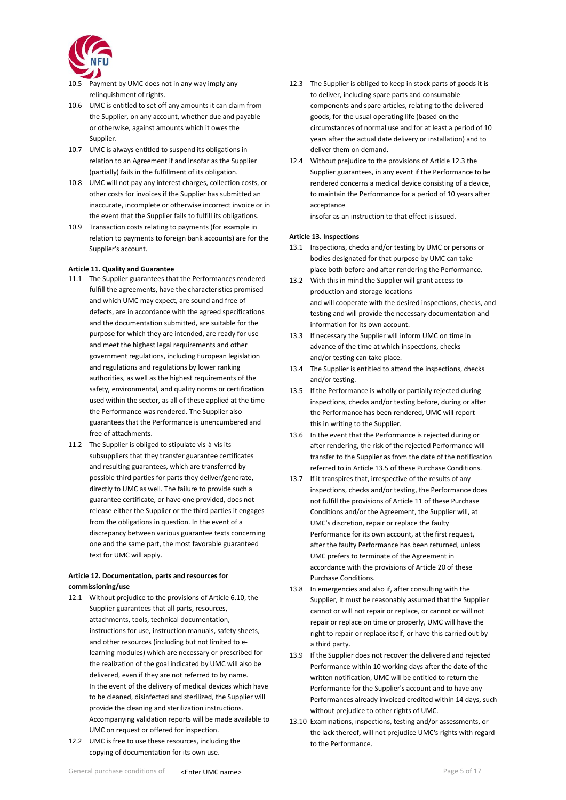

- 10.5 Payment by UMC does not in any way imply any relinquishment of rights.
- 10.6 UMC is entitled to set off any amounts it can claim from the Supplier, on any account, whether due and payable or otherwise, against amounts which it owes the Supplier.
- 10.7 UMC is always entitled to suspend its obligations in relation to an Agreement if and insofar as the Supplier (partially) fails in the fulfillment of its obligation.
- 10.8 UMC will not pay any interest charges, collection costs, or other costs for invoices if the Supplier has submitted an inaccurate, incomplete or otherwise incorrect invoice or in the event that the Supplier fails to fulfill its obligations.
- 10.9 Transaction costs relating to payments (for example in relation to payments to foreign bank accounts) are for the Supplier's account.

#### <span id="page-4-0"></span>**Article 11. Quality and Guarantee**

- 11.1 The Supplier guarantees that the Performances rendered fulfill the agreements, have the characteristics promised and which UMC may expect, are sound and free of defects, are in accordance with the agreed specifications and the documentation submitted, are suitable for the purpose for which they are intended, are ready for use and meet the highest legal requirements and other government regulations, including European legislation and regulations and regulations by lower ranking authorities, as well as the highest requirements of the safety, environmental, and quality norms or certification used within the sector, as all of these applied at the time the Performance was rendered. The Supplier also guarantees that the Performance is unencumbered and free of attachments.
- 11.2 The Supplier is obliged to stipulate vis-à-vis its subsuppliers that they transfer guarantee certificates and resulting guarantees, which are transferred by possible third parties for parts they deliver/generate, directly to UMC as well. The failure to provide such a guarantee certificate, or have one provided, does not release either the Supplier or the third parties it engages from the obligations in question. In the event of a discrepancy between various guarantee texts concerning one and the same part, the most favorable guaranteed text for UMC will apply.

# **Article 12. Documentation, parts and resources for commissioning/use**

- 12.1 Without prejudice to the provisions of Article 6.10, the Supplier guarantees that all parts, resources, attachments, tools, technical documentation, instructions for use, instruction manuals, safety sheets, and other resources (including but not limited to elearning modules) which are necessary or prescribed for the realization of the goal indicated by UMC will also be delivered, even if they are not referred to by name. In the event of the delivery of medical devices which have to be cleaned, disinfected and sterilized, the Supplier will provide the cleaning and sterilization instructions. Accompanying validation reports will be made available to UMC on request or offered for inspection.
- 12.2 UMC is free to use these resources, including the copying of documentation for its own use.
- 12.3 The Supplier is obliged to keep in stock parts of goods it is to deliver, including spare parts and consumable components and spare articles, relating to the delivered goods, for the usual operating life (based on the circumstances of normal use and for at least a period of 10 years after the actual date delivery or installation) and to deliver them on demand.
- 12.4 Without prejudice to the provisions of Article 12.3 the Supplier guarantees, in any event if the Performance to be rendered concerns a medical device consisting of a device, to maintain the Performance for a period of 10 years after acceptance

insofar as an instruction to that effect is issued.

### <span id="page-4-1"></span>**Article 13. Inspections**

- 13.1 Inspections, checks and/or testing by UMC or persons or bodies designated for that purpose by UMC can take place both before and after rendering the Performance.
- 13.2 With this in mind the Supplier will grant access to production and storage locations and will cooperate with the desired inspections, checks, and testing and will provide the necessary documentation and information for its own account.
- 13.3 If necessary the Supplier will inform UMC on time in advance of the time at which inspections, checks and/or testing can take place.
- 13.4 The Supplier is entitled to attend the inspections, checks and/or testing.
- 13.5 If the Performance is wholly or partially rejected during inspections, checks and/or testing before, during or after the Performance has been rendered, UMC will report this in writing to the Supplier.
- 13.6 In the event that the Performance is rejected during or after rendering, the risk of the rejected Performance will transfer to the Supplier as from the date of the notification referred to in Article 13.5 of these Purchase Conditions.
- 13.7 If it transpires that, irrespective of the results of any inspections, checks and/or testing, the Performance does not fulfill the provisions of Article 11 of these Purchase Conditions and/or the Agreement, the Supplier will, at UMC's discretion, repair or replace the faulty Performance for its own account, at the first request, after the faulty Performance has been returned, unless UMC prefers to terminate of the Agreement in accordance with the provisions of Article 20 of these Purchase Conditions.
- 13.8 In emergencies and also if, after consulting with the Supplier, it must be reasonably assumed that the Supplier cannot or will not repair or replace, or cannot or will not repair or replace on time or properly, UMC will have the right to repair or replace itself, or have this carried out by a third party.
- 13.9 If the Supplier does not recover the delivered and rejected Performance within 10 working days after the date of the written notification, UMC will be entitled to return the Performance for the Supplier's account and to have any Performances already invoiced credited within 14 days, such without prejudice to other rights of UMC.
- 13.10 Examinations, inspections, testing and/or assessments, or the lack thereof, will not prejudice UMC's rights with regard to the Performance.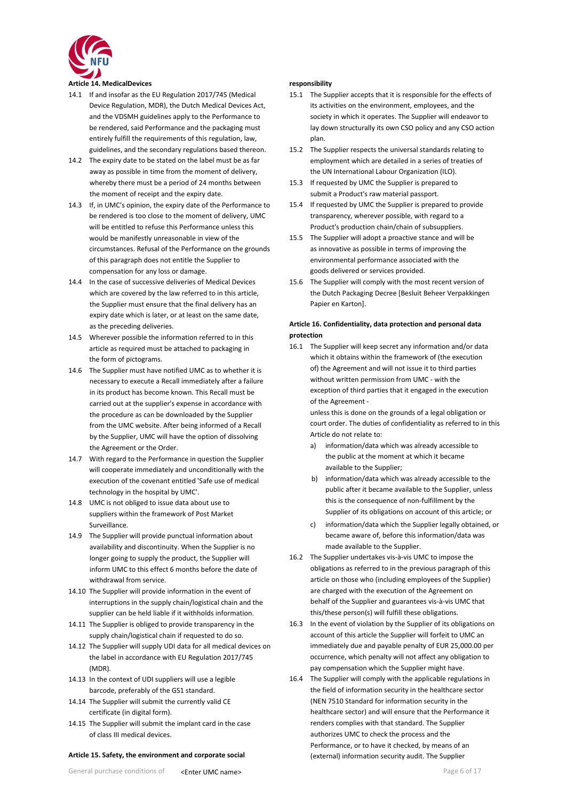

## <span id="page-5-0"></span>**Article 14. MedicalDevices**

- 14.1 If and insofar as the EU Regulation 2017/745 (Medical Device Regulation, MDR), the Dutch Medical Devices Act, and the VDSMH guidelines apply to the Performance to be rendered, said Performance and the packaging must entirely fulfill the requirements of this regulation, law, guidelines, and the secondary regulations based thereon.
- 14.2 The expiry date to be stated on the label must be as far away as possible in time from the moment of delivery, whereby there must be a period of 24 months between the moment of receipt and the expiry date.
- 14.3 If, in UMC's opinion, the expiry date of the Performance to be rendered is too close to the moment of delivery, UMC will be entitled to refuse this Performance unless this would be manifestly unreasonable in view of the circumstances. Refusal of the Performance on the grounds of this paragraph does not entitle the Supplier to compensation for any loss or damage.
- 14.4 In the case of successive deliveries of Medical Devices which are covered by the law referred to in this article, the Supplier must ensure that the final delivery has an expiry date which is later, or at least on the same date, as the preceding deliveries.
- 14.5 Wherever possible the information referred to in this article as required must be attached to packaging in the form of pictograms.
- 14.6 The Supplier must have notified UMC as to whether it is necessary to execute a Recall immediately after a failure in its product has become known. This Recall must be carried out at the supplier's expense in accordance with the procedure as can be downloaded by the Supplier from the UMC website. After being informed of a Recall by the Supplier, UMC will have the option of dissolving the Agreement or the Order.
- 14.7 With regard to the Performance in question the Supplier will cooperate immediately and unconditionally with the execution of the covenant entitled 'Safe use of medical technology in the hospital by UMC'.
- 14.8 UMC is not obliged to issue data about use to suppliers within the framework of Post Market Surveillance.
- 14.9 The Supplier will provide punctual information about availability and discontinuity. When the Supplier is no longer going to supply the product, the Supplier will inform UMC to this effect 6 months before the date of withdrawal from service.
- 14.10 The Supplier will provide information in the event of interruptions in the supply chain/logistical chain and the supplier can be held liable if it withholds information.
- 14.11 The Supplier is obliged to provide transparency in the supply chain/logistical chain if requested to do so.
- 14.12 The Supplier will supply UDI data for all medical devices on the label in accordance with EU Regulation 2017/745 (MDR).
- 14.13 In the context of UDI suppliers will use a legible barcode, preferably of the GS1 standard.
- 14.14 The Supplier will submit the currently valid CE certificate (in digital form).
- 14.15 The Supplier will submit the implant card in the case of class III medical devices.

#### **Article 15. Safety, the environment and corporate social**

#### **responsibility**

- 15.1 The Supplier accepts that it is responsible for the effects of its activities on the environment, employees, and the society in which it operates. The Supplier will endeavor to lay down structurally its own CSO policy and any CSO action plan.
- 15.2 The Supplier respects the universal standards relating to employment which are detailed in a series of treaties of the UN International Labour Organization (ILO).
- 15.3 If requested by UMC the Supplier is prepared to submit a Product's raw material passport.
- 15.4 If requested by UMC the Supplier is prepared to provide transparency, wherever possible, with regard to a Product's production chain/chain of subsuppliers.
- 15.5 The Supplier will adopt a proactive stance and will be as innovative as possible in terms of improving the environmental performance associated with the goods delivered or services provided.
- 15.6 The Supplier will comply with the most recent version of the Dutch Packaging Decree [Besluit Beheer Verpakkingen Papier en Karton].

### **Article 16. Confidentiality, data protection and personal data protection**

16.1 The Supplier will keep secret any information and/or data which it obtains within the framework of (the execution of) the Agreement and will not issue it to third parties without written permission from UMC - with the exception of third parties that it engaged in the execution of the Agreement -

unless this is done on the grounds of a legal obligation or court order. The duties of confidentiality as referred to in this Article do not relate to:

- a) information/data which was already accessible to the public at the moment at which it became available to the Supplier;
- b) information/data which was already accessible to the public after it became available to the Supplier, unless this is the consequence of non-fulfillment by the Supplier of its obligations on account of this article; or
- c) information/data which the Supplier legally obtained, or became aware of, before this information/data was made available to the Supplier.
- 16.2 The Supplier undertakes vis-à-vis UMC to impose the obligations as referred to in the previous paragraph of this article on those who (including employees of the Supplier) are charged with the execution of the Agreement on behalf of the Supplier and guarantees vis-à-vis UMC that this/these person(s) will fulfill these obligations.
- 16.3 In the event of violation by the Supplier of its obligations on account of this article the Supplier will forfeit to UMC an immediately due and payable penalty of EUR 25,000.00 per occurrence, which penalty will not affect any obligation to pay compensation which the Supplier might have.
- 16.4 The Supplier will comply with the applicable regulations in the field of information security in the healthcare sector (NEN 7510 Standard for information security in the healthcare sector) and will ensure that the Performance it renders complies with that standard. The Supplier authorizes UMC to check the process and the Performance, or to have it checked, by means of an (external) information security audit. The Supplier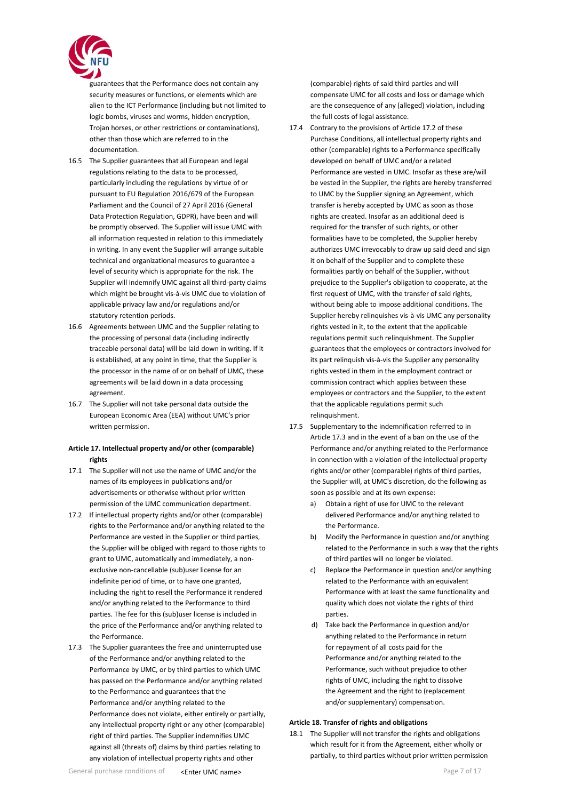

guarantees that the Performance does not contain any security measures or functions, or elements which are alien to the ICT Performance (including but not limited to logic bombs, viruses and worms, hidden encryption, Trojan horses, or other restrictions or contaminations), other than those which are referred to in the documentation.

- 16.5 The Supplier guarantees that all European and legal regulations relating to the data to be processed, particularly including the regulations by virtue of or pursuant to EU Regulation 2016/679 of the European Parliament and the Council of 27 April 2016 (General Data Protection Regulation, GDPR), have been and will be promptly observed. The Supplier will issue UMC with all information requested in relation to this immediately in writing. In any event the Supplier will arrange suitable technical and organizational measures to guarantee a level of security which is appropriate for the risk. The Supplier will indemnify UMC against all third-party claims which might be brought vis-à-vis UMC due to violation of applicable privacy law and/or regulations and/or statutory retention periods.
- 16.6 Agreements between UMC and the Supplier relating to the processing of personal data (including indirectly traceable personal data) will be laid down in writing. If it is established, at any point in time, that the Supplier is the processor in the name of or on behalf of UMC, these agreements will be laid down in a data processing agreement.
- 16.7 The Supplier will not take personal data outside the European Economic Area (EEA) without UMC's prior written permission.

# **Article 17. Intellectual property and/or other (comparable) rights**

- 17.1 The Supplier will not use the name of UMC and/or the names of its employees in publications and/or advertisements or otherwise without prior written permission of the UMC communication department.
- 17.2 If intellectual property rights and/or other (comparable) rights to the Performance and/or anything related to the Performance are vested in the Supplier or third parties, the Supplier will be obliged with regard to those rights to grant to UMC, automatically and immediately, a nonexclusive non-cancellable (sub)user license for an indefinite period of time, or to have one granted, including the right to resell the Performance it rendered and/or anything related to the Performance to third parties. The fee for this (sub)user license is included in the price of the Performance and/or anything related to the Performance.
- 17.3 The Supplier guarantees the free and uninterrupted use of the Performance and/or anything related to the Performance by UMC, or by third parties to which UMC has passed on the Performance and/or anything related to the Performance and guarantees that the Performance and/or anything related to the Performance does not violate, either entirely or partially, any intellectual property right or any other (comparable) right of third parties. The Supplier indemnifies UMC against all (threats of) claims by third parties relating to any violation of intellectual property rights and other

(comparable) rights of said third parties and will compensate UMC for all costs and loss or damage which are the consequence of any (alleged) violation, including the full costs of legal assistance.

- 17.4 Contrary to the provisions of Article 17.2 of these Purchase Conditions, all intellectual property rights and other (comparable) rights to a Performance specifically developed on behalf of UMC and/or a related Performance are vested in UMC. Insofar as these are/will be vested in the Supplier, the rights are hereby transferred to UMC by the Supplier signing an Agreement, which transfer is hereby accepted by UMC as soon as those rights are created. Insofar as an additional deed is required for the transfer of such rights, or other formalities have to be completed, the Supplier hereby authorizes UMC irrevocably to draw up said deed and sign it on behalf of the Supplier and to complete these formalities partly on behalf of the Supplier, without prejudice to the Supplier's obligation to cooperate, at the first request of UMC, with the transfer of said rights, without being able to impose additional conditions. The Supplier hereby relinquishes vis-à-vis UMC any personality rights vested in it, to the extent that the applicable regulations permit such relinquishment. The Supplier guarantees that the employees or contractors involved for its part relinquish vis-à-vis the Supplier any personality rights vested in them in the employment contract or commission contract which applies between these employees or contractors and the Supplier, to the extent that the applicable regulations permit such relinquishment.
- 17.5 Supplementary to the indemnification referred to in Article 17.3 and in the event of a ban on the use of the Performance and/or anything related to the Performance in connection with a violation of the intellectual property rights and/or other (comparable) rights of third parties, the Supplier will, at UMC's discretion, do the following as soon as possible and at its own expense:
	- a) Obtain a right of use for UMC to the relevant delivered Performance and/or anything related to the Performance.
	- b) Modify the Performance in question and/or anything related to the Performance in such a way that the rights of third parties will no longer be violated.
	- c) Replace the Performance in question and/or anything related to the Performance with an equivalent Performance with at least the same functionality and quality which does not violate the rights of third parties.
	- d) Take back the Performance in question and/or anything related to the Performance in return for repayment of all costs paid for the Performance and/or anything related to the Performance, such without prejudice to other rights of UMC, including the right to dissolve the Agreement and the right to (replacement and/or supplementary) compensation.

### <span id="page-6-0"></span>**Article 18. Transfer of rights and obligations**

18.1 The Supplier will not transfer the rights and obligations which result for it from the Agreement, either wholly or partially, to third parties without prior written permission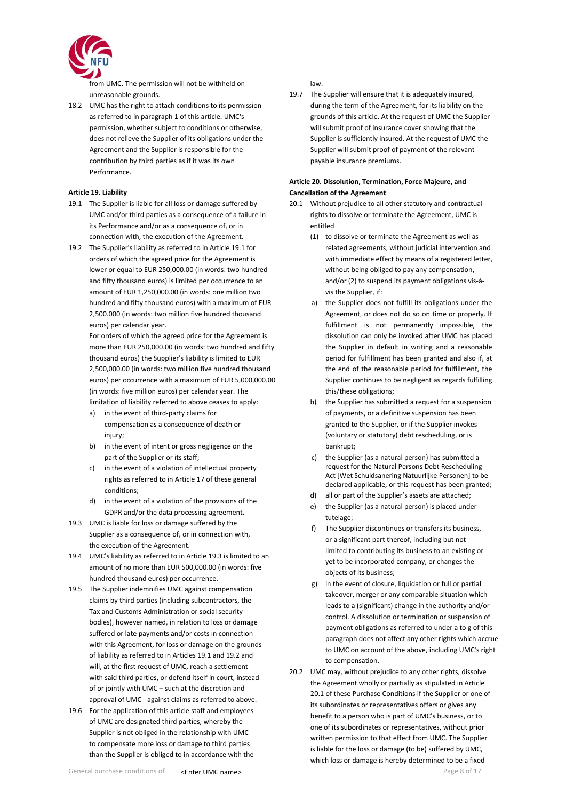

from UMC. The permission will not be withheld on unreasonable grounds.

18.2 UMC has the right to attach conditions to its permission as referred to in paragraph 1 of this article. UMC's permission, whether subject to conditions or otherwise, does not relieve the Supplier of its obligations under the Agreement and the Supplier is responsible for the contribution by third parties as if it was its own Performance.

### <span id="page-7-0"></span>**Article 19. Liability**

- 19.1 The Supplier is liable for all loss or damage suffered by UMC and/or third parties as a consequence of a failure in its Performance and/or as a consequence of, or in connection with, the execution of the Agreement.
- 19.2 The Supplier's liability as referred to in Article 19.1 for orders of which the agreed price for the Agreement is lower or equal to EUR 250,000.00 (in words: two hundred and fifty thousand euros) is limited per occurrence to an amount of EUR 1,250,000.00 (in words: one million two hundred and fifty thousand euros) with a maximum of EUR 2,500.000 (in words: two million five hundred thousand euros) per calendar year.

For orders of which the agreed price for the Agreement is more than EUR 250,000.00 (in words: two hundred and fifty thousand euros) the Supplier's liability is limited to EUR 2,500,000.00 (in words: two million five hundred thousand euros) per occurrence with a maximum of EUR 5,000,000.00 (in words: five million euros) per calendar year. The limitation of liability referred to above ceases to apply:

- a) in the event of third-party claims for compensation as a consequence of death or injury:
- b) in the event of intent or gross negligence on the part of the Supplier or its staff;
- c) in the event of a violation of intellectual property rights as referred to in Article 17 of these general conditions;
- d) in the event of a violation of the provisions of the GDPR and/or the data processing agreement.
- 19.3 UMC is liable for loss or damage suffered by the Supplier as a consequence of, or in connection with, the execution of the Agreement.
- 19.4 UMC's liability as referred to in Article 19.3 is limited to an amount of no more than EUR 500,000.00 (in words: five hundred thousand euros) per occurrence.
- 19.5 The Supplier indemnifies UMC against compensation claims by third parties (including subcontractors, the Tax and Customs Administration or social security bodies), however named, in relation to loss or damage suffered or late payments and/or costs in connection with this Agreement, for loss or damage on the grounds of liability as referred to in Articles 19.1 and 19.2 and will, at the first request of UMC, reach a settlement with said third parties, or defend itself in court, instead of or jointly with UMC – such at the discretion and approval of UMC - against claims as referred to above.
- 19.6 For the application of this article staff and employees of UMC are designated third parties, whereby the Supplier is not obliged in the relationship with UMC to compensate more loss or damage to third parties than the Supplier is obliged to in accordance with the

law.

19.7 The Supplier will ensure that it is adequately insured, during the term of the Agreement, for its liability on the grounds of this article. At the request of UMC the Supplier will submit proof of insurance cover showing that the Supplier is sufficiently insured. At the request of UMC the Supplier will submit proof of payment of the relevant payable insurance premiums.

# **Article 20. Dissolution, Termination, Force Majeure, and Cancellation of the Agreement**

- 20.1 Without prejudice to all other statutory and contractual rights to dissolve or terminate the Agreement, UMC is entitled
	- (1) to dissolve or terminate the Agreement as well as related agreements, without judicial intervention and with immediate effect by means of a registered letter, without being obliged to pay any compensation. and/or (2) to suspend its payment obligations vis-àvis the Supplier, if:
	- a) the Supplier does not fulfill its obligations under the Agreement, or does not do so on time or properly. If fulfillment is not permanently impossible, the dissolution can only be invoked after UMC has placed the Supplier in default in writing and a reasonable period for fulfillment has been granted and also if, at the end of the reasonable period for fulfillment, the Supplier continues to be negligent as regards fulfilling this/these obligations;
	- b) the Supplier has submitted a request for a suspension of payments, or a definitive suspension has been granted to the Supplier, or if the Supplier invokes (voluntary or statutory) debt rescheduling, or is bankrupt;
	- c) the Supplier (as a natural person) has submitted a request for the Natural Persons Debt Rescheduling Act [Wet Schuldsanering Natuurlijke Personen] to be declared applicable, or this request has been granted;
	- all or part of the Supplier's assets are attached;
	- e) the Supplier (as a natural person) is placed under tutelage;
	- f) The Supplier discontinues or transfers its business, or a significant part thereof, including but not limited to contributing its business to an existing or yet to be incorporated company, or changes the objects of its business;
	- g) in the event of closure, liquidation or full or partial takeover, merger or any comparable situation which leads to a (significant) change in the authority and/or control. A dissolution or termination or suspension of payment obligations as referred to under a to g of this paragraph does not affect any other rights which accrue to UMC on account of the above, including UMC's right to compensation.
- 20.2 UMC may, without prejudice to any other rights, dissolve the Agreement wholly or partially as stipulated in Article 20.1 of these Purchase Conditions if the Supplier or one of its subordinates or representatives offers or gives any benefit to a person who is part of UMC's business, or to one of its subordinates or representatives, without prior written permission to that effect from UMC. The Supplier is liable for the loss or damage (to be) suffered by UMC, which loss or damage is hereby determined to be a fixed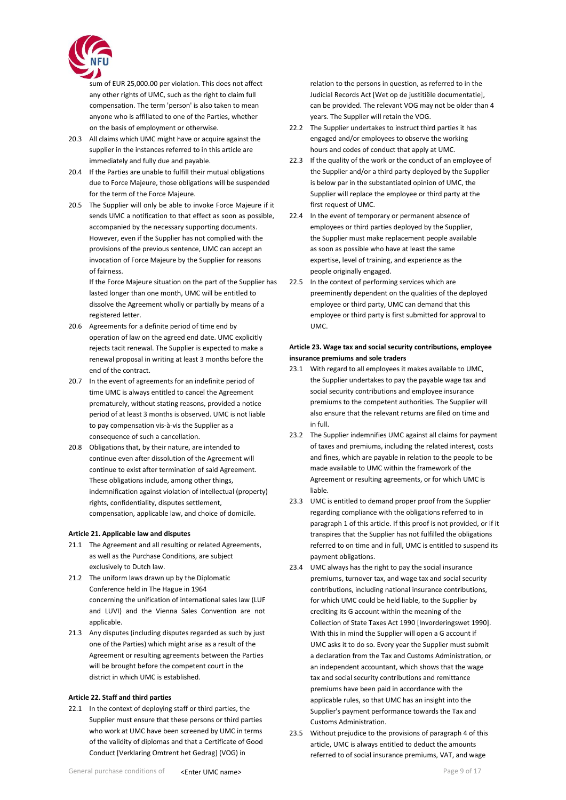

sum of EUR 25,000.00 per violation. This does not affect any other rights of UMC, such as the right to claim full compensation. The term 'person' is also taken to mean anyone who is affiliated to one of the Parties, whether on the basis of employment or otherwise.

- 20.3 All claims which UMC might have or acquire against the supplier in the instances referred to in this article are immediately and fully due and payable.
- 20.4 If the Parties are unable to fulfill their mutual obligations due to Force Majeure, those obligations will be suspended for the term of the Force Majeure.
- 20.5 The Supplier will only be able to invoke Force Majeure if it sends UMC a notification to that effect as soon as possible, accompanied by the necessary supporting documents. However, even if the Supplier has not complied with the provisions of the previous sentence, UMC can accept an invocation of Force Majeure by the Supplier for reasons of fairness.

If the Force Majeure situation on the part of the Supplier has lasted longer than one month, UMC will be entitled to dissolve the Agreement wholly or partially by means of a registered letter.

- 20.6 Agreements for a definite period of time end by operation of law on the agreed end date. UMC explicitly rejects tacit renewal. The Supplier is expected to make a renewal proposal in writing at least 3 months before the end of the contract.
- 20.7 In the event of agreements for an indefinite period of time UMC is always entitled to cancel the Agreement prematurely, without stating reasons, provided a notice period of at least 3 months is observed. UMC is not liable to pay compensation vis-à-vis the Supplier as a consequence of such a cancellation.
- 20.8 Obligations that, by their nature, are intended to continue even after dissolution of the Agreement will continue to exist after termination of said Agreement. These obligations include, among other things, indemnification against violation of intellectual (property) rights, confidentiality, disputes settlement, compensation, applicable law, and choice of domicile.

## <span id="page-8-0"></span>**Article 21. Applicable law and disputes**

- 21.1 The Agreement and all resulting or related Agreements, as well as the Purchase Conditions, are subject exclusively to Dutch law.
- 21.2 The uniform laws drawn up by the Diplomatic Conference held in The Hague in 1964 concerning the unification of international sales law (LUF and LUVI) and the Vienna Sales Convention are not applicable.
- 21.3 Any disputes (including disputes regarded as such by just one of the Parties) which might arise as a result of the Agreement or resulting agreements between the Parties will be brought before the competent court in the district in which UMC is established.

### <span id="page-8-1"></span>**Article 22. Staff and third parties**

22.1 In the context of deploying staff or third parties, the Supplier must ensure that these persons or third parties who work at UMC have been screened by UMC in terms of the validity of diplomas and that a Certificate of Good Conduct [Verklaring Omtrent het Gedrag] (VOG) in

- 22.2 The Supplier undertakes to instruct third parties it has engaged and/or employees to observe the working hours and codes of conduct that apply at UMC.
- 22.3 If the quality of the work or the conduct of an employee of the Supplier and/or a third party deployed by the Supplier is below par in the substantiated opinion of UMC, the Supplier will replace the employee or third party at the first request of UMC.
- 22.4 In the event of temporary or permanent absence of employees or third parties deployed by the Supplier, the Supplier must make replacement people available as soon as possible who have at least the same expertise, level of training, and experience as the people originally engaged.
- 22.5 In the context of performing services which are preeminently dependent on the qualities of the deployed employee or third party, UMC can demand that this employee or third party is first submitted for approval to UMC.

### **Article 23. Wage tax and social security contributions, employee insurance premiums and sole traders**

- 23.1 With regard to all employees it makes available to UMC, the Supplier undertakes to pay the payable wage tax and social security contributions and employee insurance premiums to the competent authorities. The Supplier will also ensure that the relevant returns are filed on time and in full.
- 23.2 The Supplier indemnifies UMC against all claims for payment of taxes and premiums, including the related interest, costs and fines, which are payable in relation to the people to be made available to UMC within the framework of the Agreement or resulting agreements, or for which UMC is liable.
- 23.3 UMC is entitled to demand proper proof from the Supplier regarding compliance with the obligations referred to in paragraph 1 of this article. If this proof is not provided, or if it transpires that the Supplier has not fulfilled the obligations referred to on time and in full, UMC is entitled to suspend its payment obligations.
- 23.4 UMC always has the right to pay the social insurance premiums, turnover tax, and wage tax and social security contributions, including national insurance contributions, for which UMC could be held liable, to the Supplier by crediting its G account within the meaning of the Collection of State Taxes Act 1990 [Invorderingswet 1990]. With this in mind the Supplier will open a G account if UMC asks it to do so. Every year the Supplier must submit a declaration from the Tax and Customs Administration, or an independent accountant, which shows that the wage tax and social security contributions and remittance premiums have been paid in accordance with the applicable rules, so that UMC has an insight into the Supplier's payment performance towards the Tax and Customs Administration.
- 23.5 Without prejudice to the provisions of paragraph 4 of this article, UMC is always entitled to deduct the amounts referred to of social insurance premiums, VAT, and wage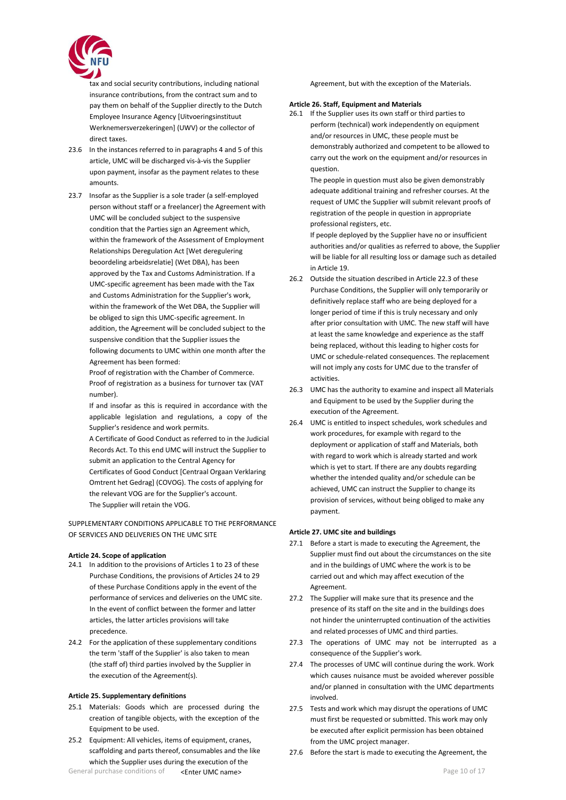

tax and social security contributions, including national insurance contributions, from the contract sum and to pay them on behalf of the Supplier directly to the Dutch Employee Insurance Agency [Uitvoeringsinstituut Werknemersverzekeringen] (UWV) or the collector of direct taxes.

- 23.6 In the instances referred to in paragraphs 4 and 5 of this article, UMC will be discharged vis-à-vis the Supplier upon payment, insofar as the payment relates to these amounts.
- 23.7 Insofar as the Supplier is a sole trader (a self-employed person without staff or a freelancer) the Agreement with UMC will be concluded subject to the suspensive condition that the Parties sign an Agreement which, within the framework of the Assessment of Employment Relationships Deregulation Act [Wet deregulering beoordeling arbeidsrelatie] (Wet DBA), has been approved by the Tax and Customs Administration. If a UMC-specific agreement has been made with the Tax and Customs Administration for the Supplier's work, within the framework of the Wet DBA, the Supplier will be obliged to sign this UMC-specific agreement. In addition, the Agreement will be concluded subject to the suspensive condition that the Supplier issues the following documents to UMC within one month after the Agreement has been formed:

Proof of registration with the Chamber of Commerce. Proof of registration as a business for turnover tax (VAT number).

If and insofar as this is required in accordance with the applicable legislation and regulations, a copy of the Supplier's residence and work permits.

A Certificate of Good Conduct as referred to in the Judicial Records Act. To this end UMC will instruct the Supplier to submit an application to the Central Agency for Certificates of Good Conduct [Centraal Orgaan Verklaring Omtrent het Gedrag] (COVOG). The costs of applying for the relevant VOG are for the Supplier's account. The Supplier will retain the VOG.

SUPPLEMENTARY CONDITIONS APPLICABLE TO THE PERFORMANCE OF SERVICES AND DELIVERIES ON THE UMC SITE

## <span id="page-9-0"></span>**Article 24. Scope of application**

- 24.1 In addition to the provisions of Articles 1 to 23 of these Purchase Conditions, the provisions of Articles 24 to 29 of these Purchase Conditions apply in the event of the performance of services and deliveries on the UMC site. In the event of conflict between the former and latter articles, the latter articles provisions will take precedence.
- 24.2 For the application of these supplementary conditions the term 'staff of the Supplier' is also taken to mean (the staff of) third parties involved by the Supplier in the execution of the Agreement(s).

### <span id="page-9-1"></span>**Article 25. Supplementary definitions**

- 25.1 Materials: Goods which are processed during the creation of tangible objects, with the exception of the Equipment to be used.
- General purchase conditions of  $\epsilon$ **Enter UMC name>** Page 10 of 17 25.2 Equipment: All vehicles, items of equipment, cranes, scaffolding and parts thereof, consumables and the like which the Supplier uses during the execution of the

Agreement, but with the exception of the Materials.

### <span id="page-9-2"></span>**Article 26. Staff, Equipment and Materials**

26.1 If the Supplier uses its own staff or third parties to perform (technical) work independently on equipment and/or resources in UMC, these people must be demonstrably authorized and competent to be allowed to carry out the work on the equipment and/or resources in question.

The people in question must also be given demonstrably adequate additional training and refresher courses. At the request of UMC the Supplier will submit relevant proofs of registration of the people in question in appropriate professional registers, etc.

If people deployed by the Supplier have no or insufficient authorities and/or qualities as referred to above, the Supplier will be liable for all resulting loss or damage such as detailed in Article 19.

- 26.2 Outside the situation described in Article 22.3 of these Purchase Conditions, the Supplier will only temporarily or definitively replace staff who are being deployed for a longer period of time if this is truly necessary and only after prior consultation with UMC. The new staff will have at least the same knowledge and experience as the staff being replaced, without this leading to higher costs for UMC or schedule-related consequences. The replacement will not imply any costs for UMC due to the transfer of activities.
- 26.3 UMC has the authority to examine and inspect all Materials and Equipment to be used by the Supplier during the execution of the Agreement.
- 26.4 UMC is entitled to inspect schedules, work schedules and work procedures, for example with regard to the deployment or application of staff and Materials, both with regard to work which is already started and work which is yet to start. If there are any doubts regarding whether the intended quality and/or schedule can be achieved, UMC can instruct the Supplier to change its provision of services, without being obliged to make any payment.

# <span id="page-9-3"></span>**Article 27. UMC site and buildings**

- 27.1 Before a start is made to executing the Agreement, the Supplier must find out about the circumstances on the site and in the buildings of UMC where the work is to be carried out and which may affect execution of the Agreement.
- 27.2 The Supplier will make sure that its presence and the presence of its staff on the site and in the buildings does not hinder the uninterrupted continuation of the activities and related processes of UMC and third parties.
- 27.3 The operations of UMC may not be interrupted as a consequence of the Supplier's work.
- 27.4 The processes of UMC will continue during the work. Work which causes nuisance must be avoided wherever possible and/or planned in consultation with the UMC departments involved.
- 27.5 Tests and work which may disrupt the operations of UMC must first be requested or submitted. This work may only be executed after explicit permission has been obtained from the UMC project manager.
- 27.6 Before the start is made to executing the Agreement, the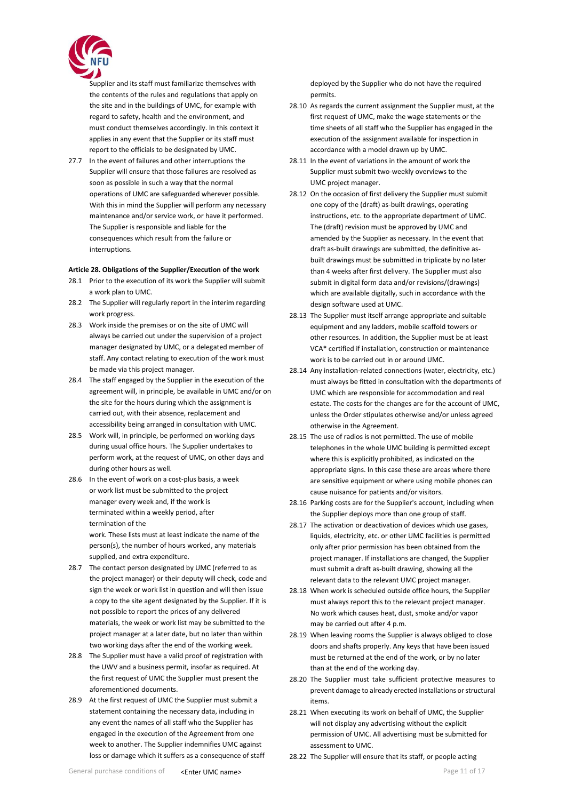

Supplier and its staff must familiarize themselves with the contents of the rules and regulations that apply on the site and in the buildings of UMC, for example with regard to safety, health and the environment, and must conduct themselves accordingly. In this context it applies in any event that the Supplier or its staff must report to the officials to be designated by UMC.

27.7 In the event of failures and other interruptions the Supplier will ensure that those failures are resolved as soon as possible in such a way that the normal operations of UMC are safeguarded wherever possible. With this in mind the Supplier will perform any necessary maintenance and/or service work, or have it performed. The Supplier is responsible and liable for the consequences which result from the failure or interruptions.

### **Article 28. Obligations of the Supplier/Execution of the work**

- 28.1 Prior to the execution of its work the Supplier will submit a work plan to UMC.
- 28.2 The Supplier will regularly report in the interim regarding work progress.
- 28.3 Work inside the premises or on the site of UMC will always be carried out under the supervision of a project manager designated by UMC, or a delegated member of staff. Any contact relating to execution of the work must be made via this project manager.
- 28.4 The staff engaged by the Supplier in the execution of the agreement will, in principle, be available in UMC and/or on the site for the hours during which the assignment is carried out, with their absence, replacement and accessibility being arranged in consultation with UMC.
- 28.5 Work will, in principle, be performed on working days during usual office hours. The Supplier undertakes to perform work, at the request of UMC, on other days and during other hours as well.
- 28.6 In the event of work on a cost-plus basis, a week or work list must be submitted to the project manager every week and, if the work is terminated within a weekly period, after termination of the

work. These lists must at least indicate the name of the person(s), the number of hours worked, any materials supplied, and extra expenditure.

- 28.7 The contact person designated by UMC (referred to as the project manager) or their deputy will check, code and sign the week or work list in question and will then issue a copy to the site agent designated by the Supplier. If it is not possible to report the prices of any delivered materials, the week or work list may be submitted to the project manager at a later date, but no later than within two working days after the end of the working week.
- 28.8 The Supplier must have a valid proof of registration with the UWV and a business permit, insofar as required. At the first request of UMC the Supplier must present the aforementioned documents.
- 28.9 At the first request of UMC the Supplier must submit a statement containing the necessary data, including in any event the names of all staff who the Supplier has engaged in the execution of the Agreement from one week to another. The Supplier indemnifies UMC against loss or damage which it suffers as a consequence of staff

deployed by the Supplier who do not have the required permits.

- 28.10 As regards the current assignment the Supplier must, at the first request of UMC, make the wage statements or the time sheets of all staff who the Supplier has engaged in the execution of the assignment available for inspection in accordance with a model drawn up by UMC.
- 28.11 In the event of variations in the amount of work the Supplier must submit two-weekly overviews to the UMC project manager.
- 28.12 On the occasion of first delivery the Supplier must submit one copy of the (draft) as-built drawings, operating instructions, etc. to the appropriate department of UMC. The (draft) revision must be approved by UMC and amended by the Supplier as necessary. In the event that draft as-built drawings are submitted, the definitive asbuilt drawings must be submitted in triplicate by no later than 4 weeks after first delivery. The Supplier must also submit in digital form data and/or revisions/(drawings) which are available digitally, such in accordance with the design software used at UMC.
- 28.13 The Supplier must itself arrange appropriate and suitable equipment and any ladders, mobile scaffold towers or other resources. In addition, the Supplier must be at least VCA\* certified if installation, construction or maintenance work is to be carried out in or around UMC.
- 28.14 Any installation-related connections (water, electricity, etc.) must always be fitted in consultation with the departments of UMC which are responsible for accommodation and real estate. The costs for the changes are for the account of UMC, unless the Order stipulates otherwise and/or unless agreed otherwise in the Agreement.
- 28.15 The use of radios is not permitted. The use of mobile telephones in the whole UMC building is permitted except where this is explicitly prohibited, as indicated on the appropriate signs. In this case these are areas where there are sensitive equipment or where using mobile phones can cause nuisance for patients and/or visitors.
- 28.16 Parking costs are for the Supplier's account, including when the Supplier deploys more than one group of staff.
- 28.17 The activation or deactivation of devices which use gases, liquids, electricity, etc. or other UMC facilities is permitted only after prior permission has been obtained from the project manager. If installations are changed, the Supplier must submit a draft as-built drawing, showing all the relevant data to the relevant UMC project manager.
- 28.18 When work is scheduled outside office hours, the Supplier must always report this to the relevant project manager. No work which causes heat, dust, smoke and/or vapor may be carried out after 4 p.m.
- 28.19 When leaving rooms the Supplier is always obliged to close doors and shafts properly. Any keys that have been issued must be returned at the end of the work, or by no later than at the end of the working day.
- 28.20 The Supplier must take sufficient protective measures to prevent damage to already erected installations or structural items.
- 28.21 When executing its work on behalf of UMC, the Supplier will not display any advertising without the explicit permission of UMC. All advertising must be submitted for assessment to UMC.
- 28.22 The Supplier will ensure that its staff, or people acting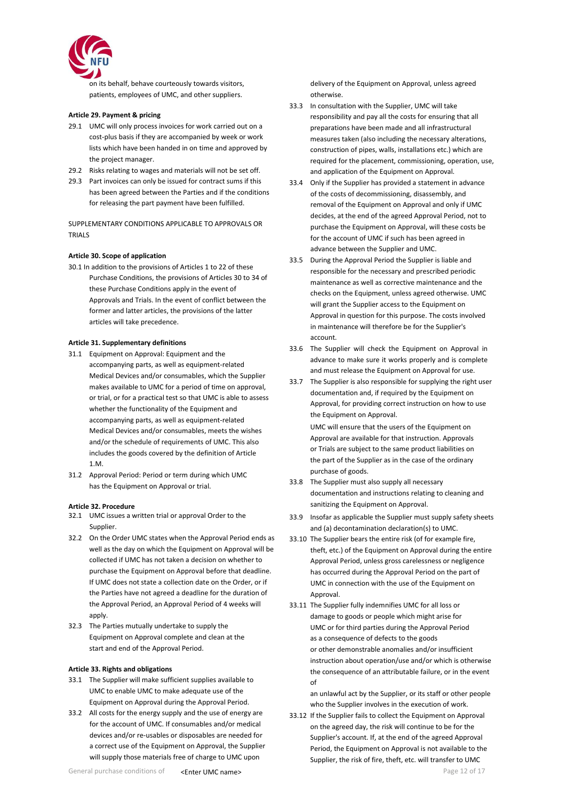

on its behalf, behave courteously towards visitors, patients, employees of UMC, and other suppliers.

## <span id="page-11-0"></span>**Article 29. Payment & pricing**

- 29.1 UMC will only process invoices for work carried out on a cost-plus basis if they are accompanied by week or work lists which have been handed in on time and approved by the project manager.
- 29.2 Risks relating to wages and materials will not be set off.
- 29.3 Part invoices can only be issued for contract sums if this has been agreed between the Parties and if the conditions for releasing the part payment have been fulfilled.

SUPPLEMENTARY CONDITIONS APPLICABLE TO APPROVALS OR TRIALS

### <span id="page-11-1"></span>**Article 30. Scope of application**

30.1 In addition to the provisions of Articles 1 to 22 of these Purchase Conditions, the provisions of Articles 30 to 34 of these Purchase Conditions apply in the event of Approvals and Trials. In the event of conflict between the former and latter articles, the provisions of the latter articles will take precedence.

### **Article 31. Supplementary definitions**

- 31.1 Equipment on Approval: Equipment and the accompanying parts, as well as equipment-related Medical Devices and/or consumables, which the Supplier makes available to UMC for a period of time on approval, or trial, or for a practical test so that UMC is able to assess whether the functionality of the Equipment and accompanying parts, as well as equipment-related Medical Devices and/or consumables, meets the wishes and/or the schedule of requirements of UMC. This also includes the goods covered by the definition of Article 1.M.
- 31.2 Approval Period: Period or term during which UMC has the Equipment on Approval or trial.

### <span id="page-11-2"></span>**Article 32. Procedure**

- 32.1 UMC issues a written trial or approval Order to the Supplier.
- 32.2 On the Order UMC states when the Approval Period ends as well as the day on which the Equipment on Approval will be collected if UMC has not taken a decision on whether to purchase the Equipment on Approval before that deadline. If UMC does not state a collection date on the Order, or if the Parties have not agreed a deadline for the duration of the Approval Period, an Approval Period of 4 weeks will apply.
- 32.3 The Parties mutually undertake to supply the Equipment on Approval complete and clean at the start and end of the Approval Period.

## <span id="page-11-3"></span>**Article 33. Rights and obligations**

- 33.1 The Supplier will make sufficient supplies available to UMC to enable UMC to make adequate use of the Equipment on Approval during the Approval Period.
- 33.2 All costs for the energy supply and the use of energy are for the account of UMC. If consumables and/or medical devices and/or re-usables or disposables are needed for a correct use of the Equipment on Approval, the Supplier will supply those materials free of charge to UMC upon

delivery of the Equipment on Approval, unless agreed otherwise.

- 33.3 In consultation with the Supplier, UMC will take responsibility and pay all the costs for ensuring that all preparations have been made and all infrastructural measures taken (also including the necessary alterations, construction of pipes, walls, installations etc.) which are required for the placement, commissioning, operation, use, and application of the Equipment on Approval.
- 33.4 Only if the Supplier has provided a statement in advance of the costs of decommissioning, disassembly, and removal of the Equipment on Approval and only if UMC decides, at the end of the agreed Approval Period, not to purchase the Equipment on Approval, will these costs be for the account of UMC if such has been agreed in advance between the Supplier and UMC.
- 33.5 During the Approval Period the Supplier is liable and responsible for the necessary and prescribed periodic maintenance as well as corrective maintenance and the checks on the Equipment, unless agreed otherwise. UMC will grant the Supplier access to the Equipment on Approval in question for this purpose. The costs involved in maintenance will therefore be for the Supplier's account.
- 33.6 The Supplier will check the Equipment on Approval in advance to make sure it works properly and is complete and must release the Equipment on Approval for use.
- 33.7 The Supplier is also responsible for supplying the right user documentation and, if required by the Equipment on Approval, for providing correct instruction on how to use the Equipment on Approval. UMC will ensure that the users of the Equipment on

Approval are available for that instruction. Approvals or Trials are subject to the same product liabilities on the part of the Supplier as in the case of the ordinary purchase of goods.

- 33.8 The Supplier must also supply all necessary documentation and instructions relating to cleaning and sanitizing the Equipment on Approval.
- 33.9 Insofar as applicable the Supplier must supply safety sheets and (a) decontamination declaration(s) to UMC.
- 33.10 The Supplier bears the entire risk (of for example fire, theft, etc.) of the Equipment on Approval during the entire Approval Period, unless gross carelessness or negligence has occurred during the Approval Period on the part of UMC in connection with the use of the Equipment on Approval.
- 33.11 The Supplier fully indemnifies UMC for all loss or damage to goods or people which might arise for UMC or for third parties during the Approval Period as a consequence of defects to the goods or other demonstrable anomalies and/or insufficient instruction about operation/use and/or which is otherwise the consequence of an attributable failure, or in the event of

an unlawful act by the Supplier, or its staff or other people who the Supplier involves in the execution of work.

33.12 If the Supplier fails to collect the Equipment on Approval on the agreed day, the risk will continue to be for the Supplier's account. If, at the end of the agreed Approval Period, the Equipment on Approval is not available to the Supplier, the risk of fire, theft, etc. will transfer to UMC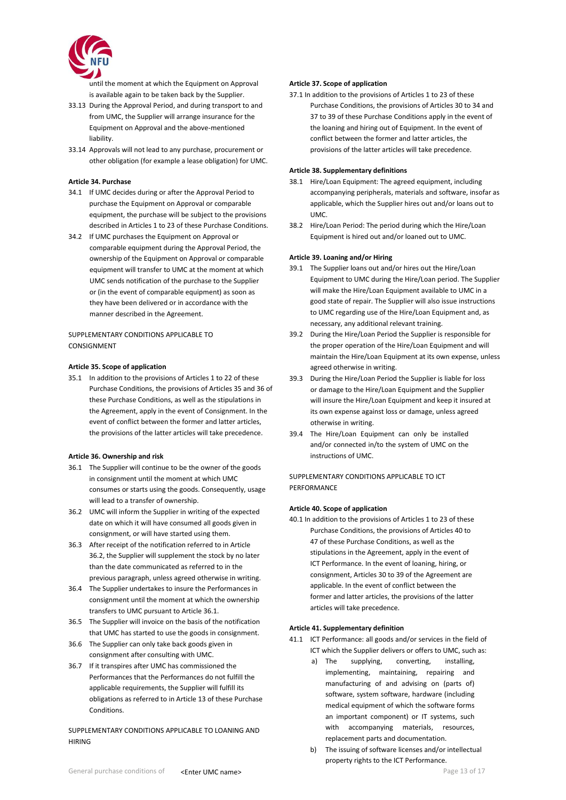

until the moment at which the Equipment on Approval is available again to be taken back by the Supplier.

- 33.13 During the Approval Period, and during transport to and from UMC, the Supplier will arrange insurance for the Equipment on Approval and the above-mentioned liability.
- 33.14 Approvals will not lead to any purchase, procurement or other obligation (for example a lease obligation) for UMC.

# <span id="page-12-0"></span>**Article 34. Purchase**

- 34.1 If UMC decides during or after the Approval Period to purchase the Equipment on Approval or comparable equipment, the purchase will be subject to the provisions described in Articles 1 to 23 of these Purchase Conditions.
- 34.2 If UMC purchases the Equipment on Approval or comparable equipment during the Approval Period, the ownership of the Equipment on Approval or comparable equipment will transfer to UMC at the moment at which UMC sends notification of the purchase to the Supplier or (in the event of comparable equipment) as soon as they have been delivered or in accordance with the manner described in the Agreement.

## SUPPLEMENTARY CONDITIONS APPLICABLE TO **CONSIGNMENT**

### <span id="page-12-1"></span>**Article 35. Scope of application**

35.1 In addition to the provisions of Articles 1 to 22 of these Purchase Conditions, the provisions of Articles 35 and 36 of these Purchase Conditions, as well as the stipulations in the Agreement, apply in the event of Consignment. In the event of conflict between the former and latter articles, the provisions of the latter articles will take precedence.

### <span id="page-12-2"></span>**Article 36. Ownership and risk**

- 36.1 The Supplier will continue to be the owner of the goods in consignment until the moment at which UMC consumes or starts using the goods. Consequently, usage will lead to a transfer of ownership.
- 36.2 UMC will inform the Supplier in writing of the expected date on which it will have consumed all goods given in consignment, or will have started using them.
- 36.3 After receipt of the notification referred to in Article 36.2, the Supplier will supplement the stock by no later than the date communicated as referred to in the previous paragraph, unless agreed otherwise in writing.
- 36.4 The Supplier undertakes to insure the Performances in consignment until the moment at which the ownership transfers to UMC pursuant to Article 36.1.
- 36.5 The Supplier will invoice on the basis of the notification that UMC has started to use the goods in consignment.
- 36.6 The Supplier can only take back goods given in consignment after consulting with UMC.
- 36.7 If it transpires after UMC has commissioned the Performances that the Performances do not fulfill the applicable requirements, the Supplier will fulfill its obligations as referred to in Article 13 of these Purchase Conditions.

## SUPPLEMENTARY CONDITIONS APPLICABLE TO LOANING AND HIRING

### <span id="page-12-3"></span>**Article 37. Scope of application**

37.1 In addition to the provisions of Articles 1 to 23 of these Purchase Conditions, the provisions of Articles 30 to 34 and 37 to 39 of these Purchase Conditions apply in the event of the loaning and hiring out of Equipment. In the event of conflict between the former and latter articles, the provisions of the latter articles will take precedence.

### <span id="page-12-4"></span>**Article 38. Supplementary definitions**

- 38.1 Hire/Loan Equipment: The agreed equipment, including accompanying peripherals, materials and software, insofar as applicable, which the Supplier hires out and/or loans out to UMC.
- 38.2 Hire/Loan Period: The period during which the Hire/Loan Equipment is hired out and/or loaned out to UMC.

# <span id="page-12-5"></span>**Article 39. Loaning and/or Hiring**

- 39.1 The Supplier loans out and/or hires out the Hire/Loan Equipment to UMC during the Hire/Loan period. The Supplier will make the Hire/Loan Equipment available to UMC in a good state of repair. The Supplier will also issue instructions to UMC regarding use of the Hire/Loan Equipment and, as necessary, any additional relevant training.
- 39.2 During the Hire/Loan Period the Supplier is responsible for the proper operation of the Hire/Loan Equipment and will maintain the Hire/Loan Equipment at its own expense, unless agreed otherwise in writing.
- 39.3 During the Hire/Loan Period the Supplier is liable for loss or damage to the Hire/Loan Equipment and the Supplier will insure the Hire/Loan Equipment and keep it insured at its own expense against loss or damage, unless agreed otherwise in writing.
- 39.4 The Hire/Loan Equipment can only be installed and/or connected in/to the system of UMC on the instructions of UMC.

### SUPPLEMENTARY CONDITIONS APPLICABLE TO ICT PERFORMANCE

### <span id="page-12-6"></span>**Article 40. Scope of application**

40.1 In addition to the provisions of Articles 1 to 23 of these Purchase Conditions, the provisions of Articles 40 to 47 of these Purchase Conditions, as well as the stipulations in the Agreement, apply in the event of ICT Performance. In the event of loaning, hiring, or consignment, Articles 30 to 39 of the Agreement are applicable. In the event of conflict between the former and latter articles, the provisions of the latter articles will take precedence.

## <span id="page-12-7"></span>**Article 41. Supplementary definition**

- 41.1 ICT Performance: all goods and/or services in the field of ICT which the Supplier delivers or offers to UMC, such as:
	- a) The supplying, converting, installing, implementing, maintaining, repairing and manufacturing of and advising on (parts of) software, system software, hardware (including medical equipment of which the software forms an important component) or IT systems, such with accompanying materials, resources, replacement parts and documentation.
	- b) The issuing of software licenses and/or intellectual property rights to the ICT Performance.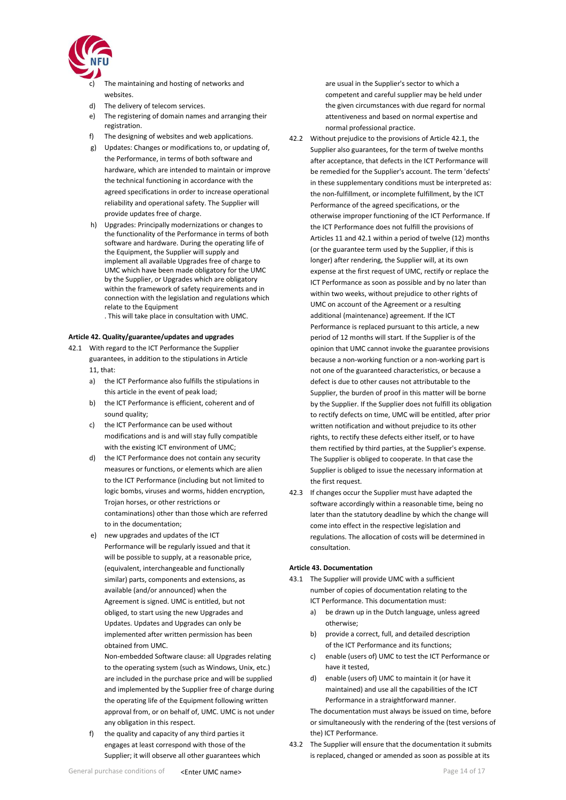

- The maintaining and hosting of networks and websites.
- d) The delivery of telecom services.
- e) The registering of domain names and arranging their registration.
- f) The designing of websites and web applications.
- g) Updates: Changes or modifications to, or updating of, the Performance, in terms of both software and hardware, which are intended to maintain or improve the technical functioning in accordance with the agreed specifications in order to increase operational reliability and operational safety. The Supplier will provide updates free of charge.
- h) Upgrades: Principally modernizations or changes to the functionality of the Performance in terms of both software and hardware. During the operating life of the Equipment, the Supplier will supply and implement all available Upgrades free of charge to UMC which have been made obligatory for the UMC by the Supplier, or Upgrades which are obligatory within the framework of safety requirements and in connection with the legislation and regulations which relate to the Equipment
	- . This will take place in consultation with UMC.

### <span id="page-13-0"></span>**Article 42. Quality/guarantee/updates and upgrades**

- 42.1 With regard to the ICT Performance the Supplier guarantees, in addition to the stipulations in Article 11, that:
	- a) the ICT Performance also fulfills the stipulations in this article in the event of peak load;
	- b) the ICT Performance is efficient, coherent and of sound quality;
	- c) the ICT Performance can be used without modifications and is and will stay fully compatible with the existing ICT environment of UMC;
	- d) the ICT Performance does not contain any security measures or functions, or elements which are alien to the ICT Performance (including but not limited to logic bombs, viruses and worms, hidden encryption, Trojan horses, or other restrictions or contaminations) other than those which are referred to in the documentation;
	- e) new upgrades and updates of the ICT Performance will be regularly issued and that it will be possible to supply, at a reasonable price, (equivalent, interchangeable and functionally similar) parts, components and extensions, as available (and/or announced) when the Agreement is signed. UMC is entitled, but not obliged, to start using the new Upgrades and Updates. Updates and Upgrades can only be implemented after written permission has been obtained from UMC.

Non-embedded Software clause: all Upgrades relating to the operating system (such as Windows, Unix, etc.) are included in the purchase price and will be supplied and implemented by the Supplier free of charge during the operating life of the Equipment following written approval from, or on behalf of, UMC. UMC is not under any obligation in this respect.

f) the quality and capacity of any third parties it engages at least correspond with those of the Supplier; it will observe all other guarantees which

- 42.2 Without prejudice to the provisions of Article 42.1, the Supplier also guarantees, for the term of twelve months after acceptance, that defects in the ICT Performance will be remedied for the Supplier's account. The term 'defects' in these supplementary conditions must be interpreted as: the non-fulfillment, or incomplete fulfillment, by the ICT Performance of the agreed specifications, or the otherwise improper functioning of the ICT Performance. If the ICT Performance does not fulfill the provisions of Articles 11 and 42.1 within a period of twelve (12) months (or the guarantee term used by the Supplier, if this is longer) after rendering, the Supplier will, at its own expense at the first request of UMC, rectify or replace the ICT Performance as soon as possible and by no later than within two weeks, without prejudice to other rights of UMC on account of the Agreement or a resulting additional (maintenance) agreement. If the ICT Performance is replaced pursuant to this article, a new period of 12 months will start. If the Supplier is of the opinion that UMC cannot invoke the guarantee provisions because a non-working function or a non-working part is not one of the guaranteed characteristics, or because a defect is due to other causes not attributable to the Supplier, the burden of proof in this matter will be borne by the Supplier. If the Supplier does not fulfill its obligation to rectify defects on time, UMC will be entitled, after prior written notification and without prejudice to its other rights, to rectify these defects either itself, or to have them rectified by third parties, at the Supplier's expense. The Supplier is obliged to cooperate. In that case the Supplier is obliged to issue the necessary information at the first request.
- 42.3 If changes occur the Supplier must have adapted the software accordingly within a reasonable time, being no later than the statutory deadline by which the change will come into effect in the respective legislation and regulations. The allocation of costs will be determined in consultation.

### <span id="page-13-1"></span>**Article 43. Documentation**

- 43.1 The Supplier will provide UMC with a sufficient number of copies of documentation relating to the ICT Performance. This documentation must:
	- a) be drawn up in the Dutch language, unless agreed otherwise;
	- b) provide a correct, full, and detailed description of the ICT Performance and its functions;
	- c) enable (users of) UMC to test the ICT Performance or have it tested,
	- d) enable (users of) UMC to maintain it (or have it maintained) and use all the capabilities of the ICT Performance in a straightforward manner.

The documentation must always be issued on time, before or simultaneously with the rendering of the (test versions of the) ICT Performance.

43.2 The Supplier will ensure that the documentation it submits is replaced, changed or amended as soon as possible at its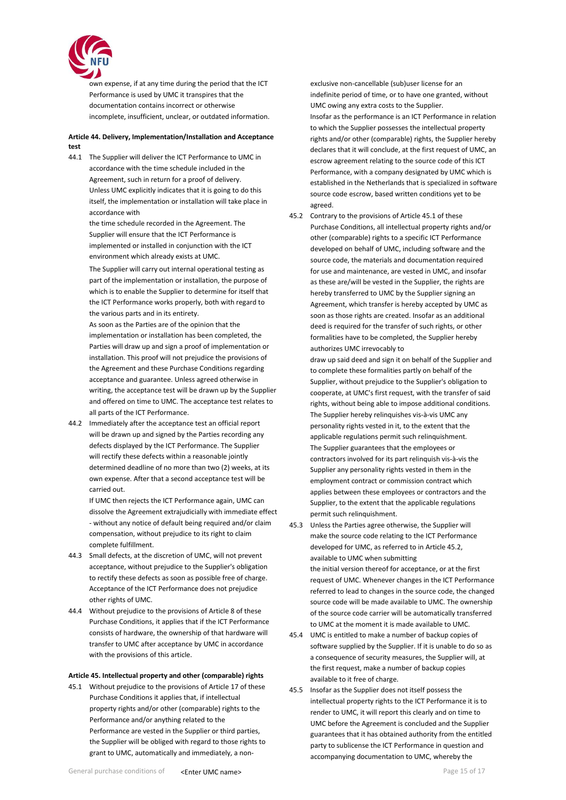

own expense, if at any time during the period that the ICT Performance is used by UMC it transpires that the documentation contains incorrect or otherwise incomplete, insufficient, unclear, or outdated information.

# <span id="page-14-0"></span>**Article 44. Delivery, Implementation/Installation and Acceptance test**

44.1 The Supplier will deliver the ICT Performance to UMC in accordance with the time schedule included in the Agreement, such in return for a proof of delivery. Unless UMC explicitly indicates that it is going to do this itself, the implementation or installation will take place in accordance with

> the time schedule recorded in the Agreement. The Supplier will ensure that the ICT Performance is implemented or installed in conjunction with the ICT environment which already exists at UMC.

The Supplier will carry out internal operational testing as part of the implementation or installation, the purpose of which is to enable the Supplier to determine for itself that the ICT Performance works properly, both with regard to the various parts and in its entirety.

As soon as the Parties are of the opinion that the implementation or installation has been completed, the Parties will draw up and sign a proof of implementation or installation. This proof will not prejudice the provisions of the Agreement and these Purchase Conditions regarding acceptance and guarantee. Unless agreed otherwise in writing, the acceptance test will be drawn up by the Supplier and offered on time to UMC. The acceptance test relates to all parts of the ICT Performance.

44.2 Immediately after the acceptance test an official report will be drawn up and signed by the Parties recording any defects displayed by the ICT Performance. The Supplier will rectify these defects within a reasonable jointly determined deadline of no more than two (2) weeks, at its own expense. After that a second acceptance test will be carried out.

> If UMC then rejects the ICT Performance again, UMC can dissolve the Agreement extrajudicially with immediate effect - without any notice of default being required and/or claim compensation, without prejudice to its right to claim complete fulfillment.

- 44.3 Small defects, at the discretion of UMC, will not prevent acceptance, without prejudice to the Supplier's obligation to rectify these defects as soon as possible free of charge. Acceptance of the ICT Performance does not prejudice other rights of UMC.
- 44.4 Without prejudice to the provisions of Article 8 of these Purchase Conditions, it applies that if the ICT Performance consists of hardware, the ownership of that hardware will transfer to UMC after acceptance by UMC in accordance with the provisions of this article.

# **Article 45. Intellectual property and other (comparable) rights**

45.1 Without prejudice to the provisions of Article 17 of these Purchase Conditions it applies that, if intellectual property rights and/or other (comparable) rights to the Performance and/or anything related to the Performance are vested in the Supplier or third parties, the Supplier will be obliged with regard to those rights to grant to UMC, automatically and immediately, a non-

exclusive non-cancellable (sub)user license for an indefinite period of time, or to have one granted, without UMC owing any extra costs to the Supplier. Insofar as the performance is an ICT Performance in relation to which the Supplier possesses the intellectual property rights and/or other (comparable) rights, the Supplier hereby declares that it will conclude, at the first request of UMC, an escrow agreement relating to the source code of this ICT Performance, with a company designated by UMC which is established in the Netherlands that is specialized in software source code escrow, based written conditions yet to be agreed.

45.2 Contrary to the provisions of Article 45.1 of these Purchase Conditions, all intellectual property rights and/or other (comparable) rights to a specific ICT Performance developed on behalf of UMC, including software and the source code, the materials and documentation required for use and maintenance, are vested in UMC, and insofar as these are/will be vested in the Supplier, the rights are hereby transferred to UMC by the Supplier signing an Agreement, which transfer is hereby accepted by UMC as soon as those rights are created. Insofar as an additional deed is required for the transfer of such rights, or other formalities have to be completed, the Supplier hereby authorizes UMC irrevocably to

draw up said deed and sign it on behalf of the Supplier and to complete these formalities partly on behalf of the Supplier, without prejudice to the Supplier's obligation to cooperate, at UMC's first request, with the transfer of said rights, without being able to impose additional conditions. The Supplier hereby relinquishes vis-à-vis UMC any personality rights vested in it, to the extent that the applicable regulations permit such relinquishment. The Supplier guarantees that the employees or contractors involved for its part relinquish vis-à-vis the Supplier any personality rights vested in them in the employment contract or commission contract which applies between these employees or contractors and the Supplier, to the extent that the applicable regulations permit such relinquishment.

- 45.3 Unless the Parties agree otherwise, the Supplier will make the source code relating to the ICT Performance developed for UMC, as referred to in Article 45.2, available to UMC when submitting the initial version thereof for acceptance, or at the first request of UMC. Whenever changes in the ICT Performance referred to lead to changes in the source code, the changed source code will be made available to UMC. The ownership of the source code carrier will be automatically transferred to UMC at the moment it is made available to UMC.
- 45.4 UMC is entitled to make a number of backup copies of software supplied by the Supplier. If it is unable to do so as a consequence of security measures, the Supplier will, at the first request, make a number of backup copies available to it free of charge.
- 45.5 Insofar as the Supplier does not itself possess the intellectual property rights to the ICT Performance it is to render to UMC, it will report this clearly and on time to UMC before the Agreement is concluded and the Supplier guarantees that it has obtained authority from the entitled party to sublicense the ICT Performance in question and accompanying documentation to UMC, whereby the